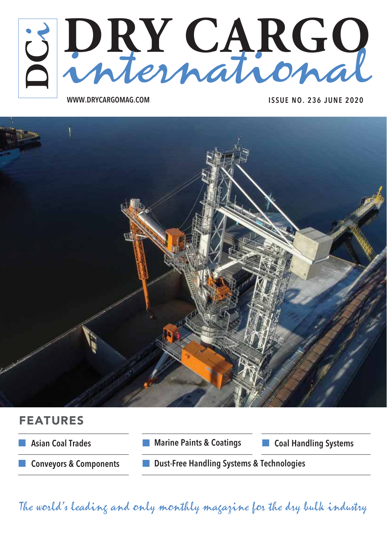

**WWW.DRYCARGOMAG.COM ISSUE NO. 236 JUNE 2020**



### FEATURES



The world's leading and only monthly magazine for the dry bulk industry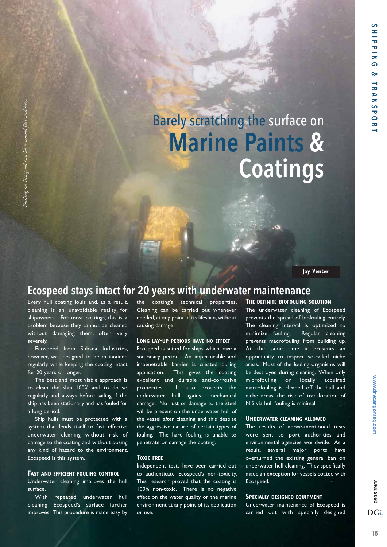# Barely scratching the surface on **Marine Paints & Coatings**

**Jay Venter**

### **Ecospeed stays intact for 20 years with underwater maintenance**

Every hull coating fouls and, as a result, cleaning is an unavoidable reality for shipowners. For most coatings, this is a problem because they cannot be cleaned without damaging them, often very severely.

*Fouling on Ecospeed can be removed fast and easy.*

Fouling on Ecospeed can be removed

Ecospeed from Subsea Industries, however, was designed to be maintained regularly while keeping the coating intact for 20 years or longer.

The best and most viable approach is to clean the ship 100% and to do so regularly and always before sailing if the ship has been stationary and has fouled for a long period.

Ship hulls must be protected with a system that lends itself to fast, effective underwater cleaning without risk of damage to the coating and without posing any kind of hazard to the environment. Ecospeed is this system.

#### **FAST AND EFFICIENT FOULING CONTROL**

Underwater cleaning improves the hull surface.

With repeated underwater hull cleaning Ecospeed's surface further improves. This procedure is made easy by

the coating's technical properties. Cleaning can be carried out whenever needed, at any point in its lifespan, without causing damage.

#### **LONG LAY-UP PERIODS HAVE NO EFFECT**

Ecospeed is suited for ships which have a stationary period. An impermeable and impenetrable barrier is created during application. This gives the coating excellent and durable anti-corrosive properties. It also protects the underwater hull against mechanical damage. No rust or damage to the steel will be present on the underwater hull of the vessel after cleaning and this despite the aggressive nature of certain types of fouling. The hard fouling is unable to penetrate or damage the coating.

#### **TOXIC FREE**

Independent tests have been carried out to authenticate Ecospeed's non-toxicity. This research proved that the coating is 100% non-toxic. There is no negative effect on the water quality or the marine environment at any point of its application or use.

#### **THE DEFINITE BIOFOULING SOLUTION**

The underwater cleaning of Ecospeed prevents the spread of biofouling entirely. The cleaning interval is optimized to minimize fouling. Regular cleaning prevents macrofouling from building up. At the same time it presents an opportunity to inspect so-called niche areas. Most of the fouling organisms will be destroyed during cleaning. When only microfouling or locally acquired macrofouling is cleaned off the hull and niche areas, the risk of translocation of NIS via hull fouling is minimal.

#### **UNDERWATER CLEANING ALLOWED**

The results of above-mentioned tests were sent to port authorities and environmental agencies worldwide. As a result, several major ports have overturned the existing general ban on underwater hull cleaning. They specifically made an exception for vessels coated with Ecospeed.

#### **SPECIALLY DESIGNED EQUIPMENT**

Underwater maintenance of Ecospeed is carried out with specially designed

DC<sub>i</sub>

**UNE 2020**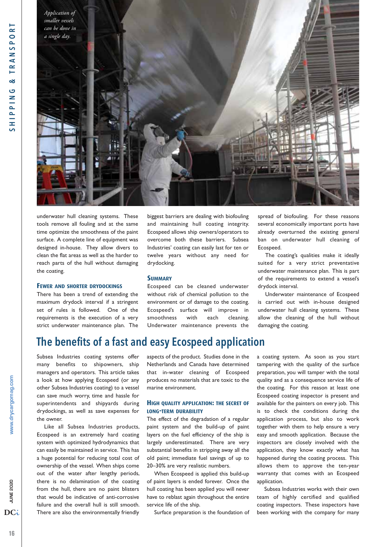

underwater hull cleaning systems. These tools remove all fouling and at the same time optimize the smoothness of the paint surface. A complete line of equipment was designed in-house. They allow divers to clean the flat areas as well as the harder to reach parts of the hull without damaging the coating.

#### **FEWER AND SHORTER DRYDOCKINGS**

There has been a trend of extending the maximum drydock interval if a stringent set of rules is followed. One of the requirements is the execution of a very strict underwater maintenance plan. The

biggest barriers are dealing with biofouling and maintaining hull coating integrity. Ecospeed allows ship owners/operators to overcome both these barriers. Subsea Industries' coating can easily last for ten or twelve years without any need for drydocking.

#### **SUMMARY**

Ecospeed can be cleaned underwater without risk of chemical pollution to the environment or of damage to the coating. Ecospeed's surface will improve in smoothness with each cleaning. Underwater maintenance prevents the

spread of biofouling. For these reasons several economically important ports have already overturned the existing general ban on underwater hull cleaning of Ecospeed.

The coating's qualities make it ideally suited for a very strict preventative underwater maintenance plan. This is part of the requirements to extend a vessel's drydock interval.

Underwater maintenance of Ecospeed is carried out with in-house designed underwater hull cleaning systems. These allow the cleaning of the hull without damaging the coating.

# **The benefits of a fast and easy Ecospeed application**

Subsea Industries coating systems offer many benefits to shipowners, ship managers and operators. This article takes a look at how applying Ecospeed (or any other Subsea Industries coating) to a vessel can save much worry, time and hassle for superintendents and shipyards during drydockings, as well as save expenses for the owner.

Like all Subsea Industries products, Ecospeed is an extremely hard coating system with optimized hydrodynamics that can easily be maintained in service. This has a huge potential for reducing total cost of ownership of the vessel. When ships come out of the water after lengthy periods, there is no delamination of the coating from the hull, there are no paint blisters that would be indicative of anti-corrosive failure and the overall hull is still smooth. There are also the environmentally friendly

aspects of the product. Studies done in the Netherlands and Canada have determined that in-water cleaning of Ecospeed produces no materials that are toxic to the marine environment.

#### **HIGH QUALITY APPLICATION: THE SECRET OF LONG-TERM DURABILITY**

The effect of the degradation of a regular paint system and the build-up of paint layers on the fuel efficiency of the ship is largely underestimated. There are very substantial benefits in stripping away all the old paint; immediate fuel savings of up to 20–30% are very realistic numbers.

When Ecospeed is applied this build-up of paint layers is ended forever. Once the hull coating has been applied you will never have to reblast again throughout the entire service life of the ship.

Surface preparation is the foundation of

a coating system. As soon as you start tampering with the quality of the surface preparation, you will tamper with the total quality and as a consequence service life of the coating. For this reason at least one Ecospeed coating inspector is present and available for the painters on every job. This is to check the conditions during the application process, but also to work together with them to help ensure a very easy and smooth application. Because the inspectors are closely involved with the application, they know exactly what has happened during the coating process. This allows them to approve the ten-year warranty that comes with an Ecospeed application.

Subsea Industries works with their own team of highly certified and qualified coating inspectors. These inspectors have been working with the company for many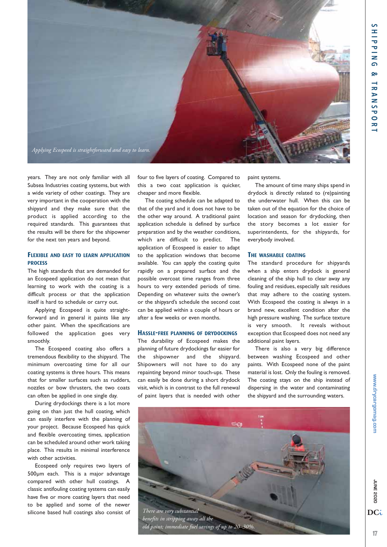

years. They are not only familiar with all Subsea Industries coating systems, but with a wide variety of other coatings. They are very important in the cooperation with the shipyard and they make sure that the product is applied according to the required standards. This guarantees that the results will be there for the shipowner for the next ten years and beyond.

#### **FLEXIBLE AND EASY TO LEARN APPLICATION PROCESS**

The high standards that are demanded for an Ecospeed application do not mean that learning to work with the coating is a difficult process or that the application itself is hard to schedule or carry out.

Applying Ecospeed is quite straightforward and in general it paints like any other paint. When the specifications are followed the application goes very smoothly.

The Ecospeed coating also offers a tremendous flexibility to the shipyard. The minimum overcoating time for all our coating systems is three hours. This means that for smaller surfaces such as rudders, nozzles or bow thrusters, the two coats can often be applied in one single day.

During drydockings there is a lot more going on than just the hull coating, which can easily interfere with the planning of your project. Because Ecospeed has quick and flexible overcoating times, application can be scheduled around other work taking place. This results in minimal interference with other activities.

Ecospeed only requires two layers of 500μm each. This is a major advantage compared with other hull coatings. classic antifouling coating systems can easily have five or more coating layers that need to be applied and some of the newer silicone based hull coatings also consist of four to five layers of coating. Compared to this a two coat application is quicker, cheaper and more flexible.

The coating schedule can be adapted to that of the yard and it does not have to be the other way around. A traditional paint application schedule is defined by surface preparation and by the weather conditions, which are difficult to predict. The application of Ecospeed is easier to adapt to the application windows that become available. You can apply the coating quite rapidly on a prepared surface and the possible overcoat time ranges from three hours to very extended periods of time. Depending on whatever suits the owner's or the shipyard's schedule the second coat can be applied within a couple of hours or after a few weeks or even months.

#### **HASSLE-FREE PLANNING OF DRYDOCKINGS**

The durability of Ecospeed makes the planning of future drydockings far easier for the shipowner and the shipyard. Shipowners will not have to do any repainting beyond minor touch-ups. These can easily be done during a short drydock visit, which is in contrast to the full renewal of paint layers that is needed with other

paint systems.

The amount of time many ships spend in drydock is directly related to (re)painting the underwater hull. When this can be taken out of the equation for the choice of location and season for drydocking, then the story becomes a lot easier for superintendents, for the shipyards, for everybody involved.

#### **THE WASHABLE COATING**

The standard procedure for shipyards when a ship enters drydock is general cleaning of the ship hull to clear away any fouling and residues, especially salt residues that may adhere to the coating system. With Ecospeed the coating is always in a brand new, excellent condition after the high pressure washing. The surface texture is very smooth. It reveals without exception that Ecospeed does not need any additional paint layers.

There is also a very big difference between washing Ecospeed and other paints. With Ecospeed none of the paint material is lost. Only the fouling is removed. The coating stays on the ship instead of dispersing in the water and contaminating the shipyard and the surrounding waters.



**UNE 2020** 

DC<sub>i</sub>